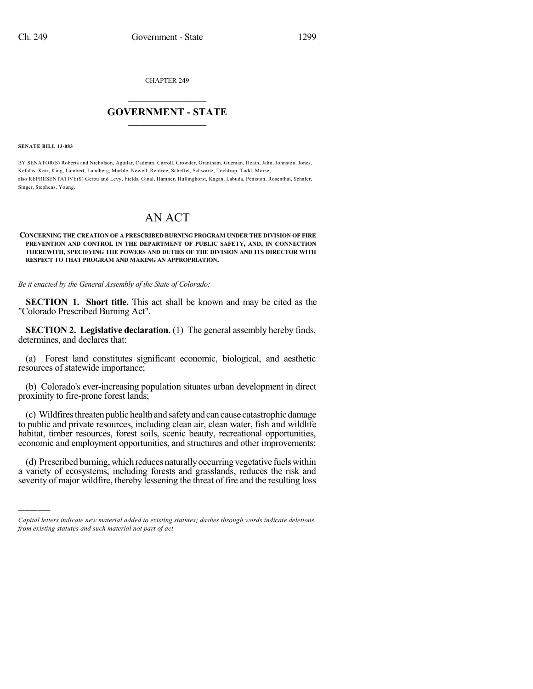CHAPTER 249

# $\overline{\phantom{a}}$  . The set of the set of the set of the set of the set of the set of the set of the set of the set of the set of the set of the set of the set of the set of the set of the set of the set of the set of the set o **GOVERNMENT - STATE**  $\_$

**SENATE BILL 13-083**

)))))

BY SENATOR(S) Roberts and Nicholson, Aguilar, Cadman, Carroll, Crowder, Grantham, Guzman, Heath, Jahn, Johnston, Jones, Kefalas, Kerr, King, Lambert, Lundberg, Marble, Newell, Renfroe, Scheffel, Schwartz, Tochtrop, Todd, Morse; also REPRESENTATIVE(S) Gerou and Levy, Fields, Ginal, Hamner, Hullinghorst, Kagan, Labuda, Peniston, Rosenthal, Schafer, Singer, Stephens, Young.

# AN ACT

## **CONCERNING THE CREATION OF A PRESCRIBED BURNING PROGRAM UNDER THE DIVISION OF FIRE PREVENTION AND CONTROL IN THE DEPARTMENT OF PUBLIC SAFETY, AND, IN CONNECTION THEREWITH, SPECIFYING THE POWERS AND DUTIES OF THE DIVISION AND ITS DIRECTOR WITH RESPECT TO THAT PROGRAM AND MAKING AN APPROPRIATION.**

*Be it enacted by the General Assembly of the State of Colorado:*

**SECTION 1. Short title.** This act shall be known and may be cited as the "Colorado Prescribed Burning Act".

**SECTION 2. Legislative declaration.** (1) The general assembly hereby finds, determines, and declares that:

(a) Forest land constitutes significant economic, biological, and aesthetic resources of statewide importance;

(b) Colorado's ever-increasing population situates urban development in direct proximity to fire-prone forest lands;

(c) Wildfiresthreaten public health and safetyand can cause catastrophic damage to public and private resources, including clean air, clean water, fish and wildlife habitat, timber resources, forest soils, scenic beauty, recreational opportunities, economic and employment opportunities, and structures and other improvements;

(d) Prescribed burning,which reduces naturallyoccurringvegetative fuelswithin a variety of ecosystems, including forests and grasslands, reduces the risk and severity of major wildfire, thereby lessening the threat of fire and the resulting loss

*Capital letters indicate new material added to existing statutes; dashes through words indicate deletions from existing statutes and such material not part of act.*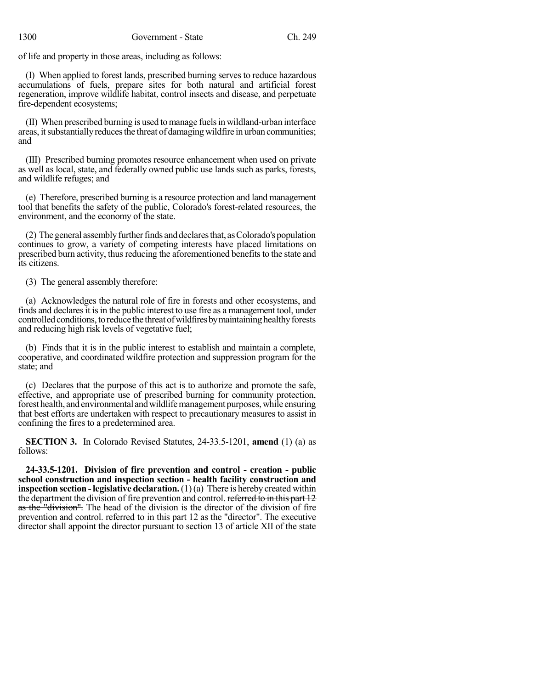of life and property in those areas, including as follows:

(I) When applied to forest lands, prescribed burning serves to reduce hazardous accumulations of fuels, prepare sites for both natural and artificial forest regeneration, improve wildlife habitat, control insects and disease, and perpetuate fire-dependent ecosystems;

(II) When prescribed burning is used tomanage fuelsin wildland-urban interface areas, itsubstantiallyreducesthe threat of damagingwildfire in urban communities; and

(III) Prescribed burning promotes resource enhancement when used on private as well as local, state, and federally owned public use lands such as parks, forests, and wildlife refuges; and

(e) Therefore, prescribed burning is a resource protection and land management tool that benefits the safety of the public, Colorado's forest-related resources, the environment, and the economy of the state.

(2) The general assembly further finds and declares that, as Colorado's population continues to grow, a variety of competing interests have placed limitations on prescribed burn activity, thus reducing the aforementioned benefits to the state and its citizens.

(3) The general assembly therefore:

(a) Acknowledges the natural role of fire in forests and other ecosystems, and finds and declares it is in the public interest to use fire as a management tool, under controlled conditions, to reduce the threat of wildfires by maintaining healthy forests and reducing high risk levels of vegetative fuel;

(b) Finds that it is in the public interest to establish and maintain a complete, cooperative, and coordinated wildfire protection and suppression program for the state; and

(c) Declares that the purpose of this act is to authorize and promote the safe, effective, and appropriate use of prescribed burning for community protection, forest health, and environmental and wildlife management purposes, while ensuring that best efforts are undertaken with respect to precautionary measures to assist in confining the fires to a predetermined area.

**SECTION 3.** In Colorado Revised Statutes, 24-33.5-1201, **amend** (1) (a) as follows:

**24-33.5-1201. Division of fire prevention and control - creation - public school construction and inspection section - health facility construction and inspection section -legislative declaration.**(1)(a) There is hereby created within the department the division of fire prevention and control. referred to in this part 12 as the "division". The head of the division is the director of the division of fire prevention and control. referred to in this part 12 as the "director". The executive director shall appoint the director pursuant to section 13 of article XII of the state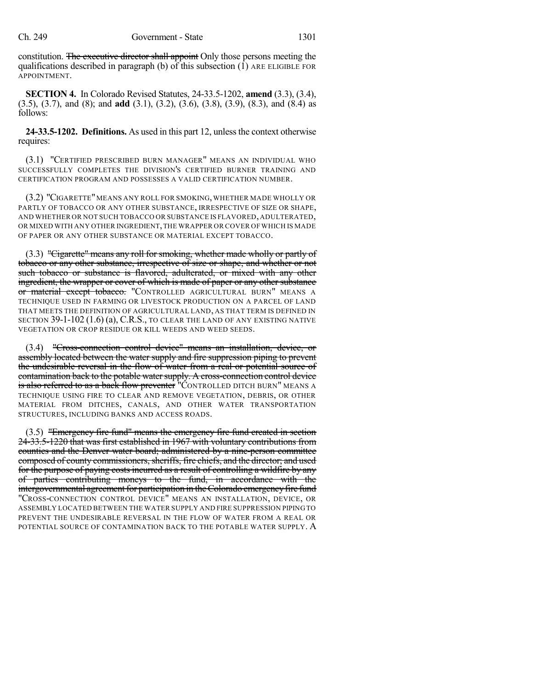constitution. The executive director shall appoint Only those persons meeting the qualifications described in paragraph (b) of this subsection  $(1)$  ARE ELIGIBLE FOR APPOINTMENT.

**SECTION 4.** In Colorado Revised Statutes, 24-33.5-1202, **amend** (3.3), (3.4), (3.5), (3.7), and (8); and **add** (3.1), (3.2), (3.6), (3.8), (3.9), (8.3), and (8.4) as follows:

**24-33.5-1202. Definitions.** As used in this part 12, unless the context otherwise requires:

(3.1) "CERTIFIED PRESCRIBED BURN MANAGER" MEANS AN INDIVIDUAL WHO SUCCESSFULLY COMPLETES THE DIVISION'S CERTIFIED BURNER TRAINING AND CERTIFICATION PROGRAM AND POSSESSES A VALID CERTIFICATION NUMBER.

(3.2) "CIGARETTE"MEANS ANY ROLL FOR SMOKING, WHETHER MADE WHOLLY OR PARTLY OF TOBACCO OR ANY OTHER SUBSTANCE, IRRESPECTIVE OF SIZE OR SHAPE, AND WHETHER OR NOT SUCH TOBACCO OR SUBSTANCE IS FLAVORED, ADULTERATED, OR MIXED WITH ANY OTHER INGREDIENT,THE WRAPPER OR COVER OF WHICH IS MADE OF PAPER OR ANY OTHER SUBSTANCE OR MATERIAL EXCEPT TOBACCO.

(3.3) "Cigarette" means any roll for smoking, whether made wholly or partly of tobacco or any other substance, irrespective of size or shape, and whether or not such tobacco or substance is flavored, adulterated, or mixed with any other ingredient, the wrapper or cover of which is made of paper or any other substance or material except tobacco. "CONTROLLED AGRICULTURAL BURN" MEANS A TECHNIQUE USED IN FARMING OR LIVESTOCK PRODUCTION ON A PARCEL OF LAND THAT MEETS THE DEFINITION OF AGRICULTURAL LAND, AS THAT TERM IS DEFINED IN SECTION 39-1-102 (1.6) (a), C.R.S., TO CLEAR THE LAND OF ANY EXISTING NATIVE VEGETATION OR CROP RESIDUE OR KILL WEEDS AND WEED SEEDS.

(3.4) "Cross-connection control device" means an installation, device, or assembly located between the water supply and fire suppression piping to prevent the undesirable reversal in the flow of water from a real or potential source of contamination back to the potable water supply. A cross-connection control device is also referred to as a back flow preventer "CONTROLLED DITCH BURN" MEANS A TECHNIQUE USING FIRE TO CLEAR AND REMOVE VEGETATION, DEBRIS, OR OTHER MATERIAL FROM DITCHES, CANALS, AND OTHER WATER TRANSPORTATION STRUCTURES, INCLUDING BANKS AND ACCESS ROADS.

(3.5) "Emergency fire fund" means the emergency fire fund created in section 24-33.5-1220 that was first established in 1967 with voluntary contributions from counties and the Denver water board; administered by a nine-person committee composed of county commissioners, sheriffs, fire chiefs, and the director; and used for the purpose of paying costs incurred as a result of controlling a wildfire by any of parties contributing moneys to the fund, in accordance with the intergovernmental agreement for participation in the Colorado emergency fire fund "CROSS-CONNECTION CONTROL DEVICE" MEANS AN INSTALLATION, DEVICE, OR ASSEMBLY LOCATED BETWEEN THE WATER SUPPLY AND FIRE SUPPRESSION PIPING TO PREVENT THE UNDESIRABLE REVERSAL IN THE FLOW OF WATER FROM A REAL OR POTENTIAL SOURCE OF CONTAMINATION BACK TO THE POTABLE WATER SUPPLY. A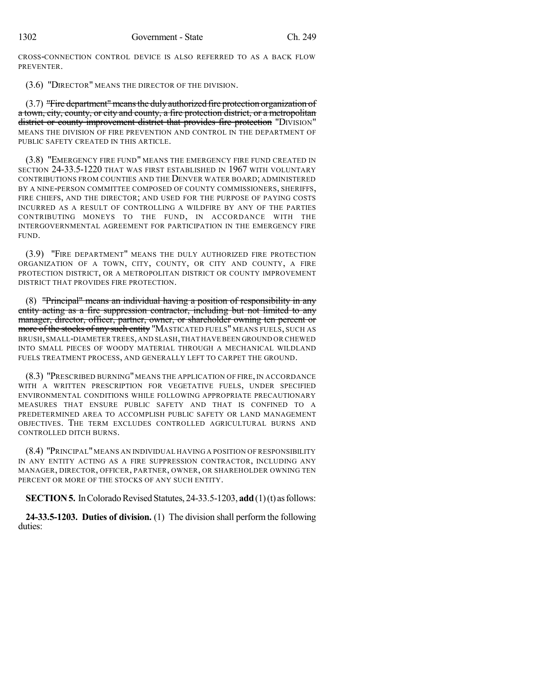CROSS-CONNECTION CONTROL DEVICE IS ALSO REFERRED TO AS A BACK FLOW PREVENTER.

(3.6) "DIRECTOR" MEANS THE DIRECTOR OF THE DIVISION.

(3.7) "Fire department"meansthe duly authorized fire protection organization of a town, city, county, or city and county, a fire protection district, or a metropolitan district or county improvement district that provides fire protection "DIVISION" MEANS THE DIVISION OF FIRE PREVENTION AND CONTROL IN THE DEPARTMENT OF PUBLIC SAFETY CREATED IN THIS ARTICLE.

(3.8) "EMERGENCY FIRE FUND" MEANS THE EMERGENCY FIRE FUND CREATED IN SECTION 24-33.5-1220 THAT WAS FIRST ESTABLISHED IN 1967 WITH VOLUNTARY CONTRIBUTIONS FROM COUNTIES AND THE DENVER WATER BOARD; ADMINISTERED BY A NINE-PERSON COMMITTEE COMPOSED OF COUNTY COMMISSIONERS, SHERIFFS, FIRE CHIEFS, AND THE DIRECTOR; AND USED FOR THE PURPOSE OF PAYING COSTS INCURRED AS A RESULT OF CONTROLLING A WILDFIRE BY ANY OF THE PARTIES CONTRIBUTING MONEYS TO THE FUND, IN ACCORDANCE WITH THE INTERGOVERNMENTAL AGREEMENT FOR PARTICIPATION IN THE EMERGENCY FIRE FUND.

(3.9) "FIRE DEPARTMENT" MEANS THE DULY AUTHORIZED FIRE PROTECTION ORGANIZATION OF A TOWN, CITY, COUNTY, OR CITY AND COUNTY, A FIRE PROTECTION DISTRICT, OR A METROPOLITAN DISTRICT OR COUNTY IMPROVEMENT DISTRICT THAT PROVIDES FIRE PROTECTION.

(8) "Principal" means an individual having a position of responsibility in any entity acting as a fire suppression contractor, including but not limited to any manager, director, officer, partner, owner, or shareholder owning ten percent or more of the stocks of any such entity "MASTICATED FUELS" MEANS FUELS, SUCH AS BRUSH,SMALL-DIAMETER TREES,AND SLASH,THAT HAVE BEEN GROUND OR CHEWED INTO SMALL PIECES OF WOODY MATERIAL THROUGH A MECHANICAL WILDLAND FUELS TREATMENT PROCESS, AND GENERALLY LEFT TO CARPET THE GROUND.

(8.3) "PRESCRIBED BURNING" MEANS THE APPLICATION OF FIRE, IN ACCORDANCE WITH A WRITTEN PRESCRIPTION FOR VEGETATIVE FUELS, UNDER SPECIFIED ENVIRONMENTAL CONDITIONS WHILE FOLLOWING APPROPRIATE PRECAUTIONARY MEASURES THAT ENSURE PUBLIC SAFETY AND THAT IS CONFINED TO A PREDETERMINED AREA TO ACCOMPLISH PUBLIC SAFETY OR LAND MANAGEMENT OBJECTIVES. THE TERM EXCLUDES CONTROLLED AGRICULTURAL BURNS AND CONTROLLED DITCH BURNS.

(8.4) "PRINCIPAL"MEANS AN INDIVIDUAL HAVING A POSITION OF RESPONSIBILITY IN ANY ENTITY ACTING AS A FIRE SUPPRESSION CONTRACTOR, INCLUDING ANY MANAGER, DIRECTOR, OFFICER, PARTNER, OWNER, OR SHAREHOLDER OWNING TEN PERCENT OR MORE OF THE STOCKS OF ANY SUCH ENTITY.

**SECTION 5.** In Colorado Revised Statutes, 24-33.5-1203, **add**(1)(t) as follows:

**24-33.5-1203. Duties of division.** (1) The division shall perform the following duties: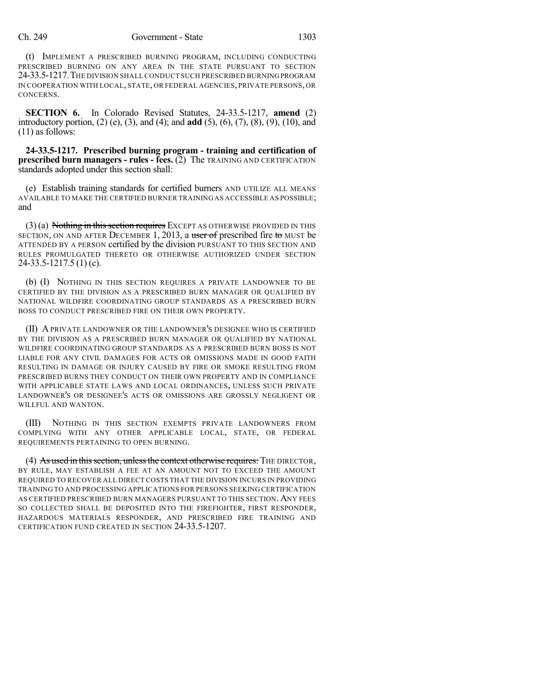### Ch. 249 Government - State 1303

(t) IMPLEMENT A PRESCRIBED BURNING PROGRAM, INCLUDING CONDUCTING PRESCRIBED BURNING ON ANY AREA IN THE STATE PURSUANT TO SECTION 24-33.5-1217.THE DIVISION SHALLCONDUCT SUCH PRESCRIBED BURNINGPROGRAM IN COOPERATION WITH LOCAL, STATE, OR FEDERAL AGENCIES, PRIVATE PERSONS, OR CONCERNS.

**SECTION 6.** In Colorado Revised Statutes, 24-33.5-1217, **amend** (2) introductory portion, (2) (e), (3), and (4); and **add** (5), (6), (7), (8), (9), (10), and (11) as follows:

**24-33.5-1217. Prescribed burning program - training and certification of prescribed burn managers - rules - fees.** (2) The TRAINING AND CERTIFICATION standards adopted under this section shall:

(e) Establish training standards for certified burners AND UTILIZE ALL MEANS AVAILABLE TO MAKE THE CERTIFIED BURNER TRAINING AS ACCESSIBLE AS POSSIBLE; and

 $(3)$  (a) Nothing in this section requires EXCEPT AS OTHERWISE PROVIDED IN THIS SECTION, ON AND AFTER DECEMBER 1, 2013, a user of prescribed fire to MUST be ATTENDED BY A PERSON certified by the division PURSUANT TO THIS SECTION AND RULES PROMULGATED THERETO OR OTHERWISE AUTHORIZED UNDER SECTION 24-33.5-1217.5 (1) (c).

(b) (I) NOTHING IN THIS SECTION REQUIRES A PRIVATE LANDOWNER TO BE CERTIFIED BY THE DIVISION AS A PRESCRIBED BURN MANAGER OR QUALIFIED BY NATIONAL WILDFIRE COORDINATING GROUP STANDARDS AS A PRESCRIBED BURN BOSS TO CONDUCT PRESCRIBED FIRE ON THEIR OWN PROPERTY.

(II) A PRIVATE LANDOWNER OR THE LANDOWNER'S DESIGNEE WHO IS CERTIFIED BY THE DIVISION AS A PRESCRIBED BURN MANAGER OR QUALIFIED BY NATIONAL WILDFIRE COORDINATING GROUP STANDARDS AS A PRESCRIBED BURN BOSS IS NOT LIABLE FOR ANY CIVIL DAMAGES FOR ACTS OR OMISSIONS MADE IN GOOD FAITH RESULTING IN DAMAGE OR INJURY CAUSED BY FIRE OR SMOKE RESULTING FROM PRESCRIBED BURNS THEY CONDUCT ON THEIR OWN PROPERTY AND IN COMPLIANCE WITH APPLICABLE STATE LAWS AND LOCAL ORDINANCES, UNLESS SUCH PRIVATE LANDOWNER'S OR DESIGNEE'S ACTS OR OMISSIONS ARE GROSSLY NEGLIGENT OR WILLFUL AND WANTON.

(III) NOTHING IN THIS SECTION EXEMPTS PRIVATE LANDOWNERS FROM COMPLYING WITH ANY OTHER APPLICABLE LOCAL, STATE, OR FEDERAL REQUIREMENTS PERTAINING TO OPEN BURNING.

(4) As used in this section, unless the context otherwise requires: THE DIRECTOR, BY RULE, MAY ESTABLISH A FEE AT AN AMOUNT NOT TO EXCEED THE AMOUNT REQUIRED TO RECOVER ALL DIRECT COSTS THAT THE DIVISION INCURS IN PROVIDING TRAINING TO AND PROCESSING APPLICATIONS FOR PERSONS SEEKING CERTIFICATION AS CERTIFIED PRESCRIBED BURN MANAGERS PURSUANT TO THIS SECTION.ANY FEES SO COLLECTED SHALL BE DEPOSITED INTO THE FIREFIGHTER, FIRST RESPONDER, HAZARDOUS MATERIALS RESPONDER, AND PRESCRIBED FIRE TRAINING AND CERTIFICATION FUND CREATED IN SECTION 24-33.5-1207.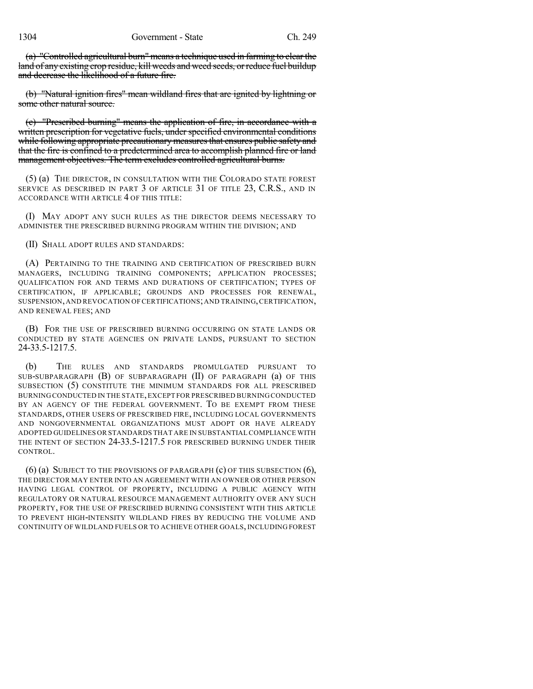(a) "Controlled agricultural burn" means a technique used in farming to clear the land of any existing crop residue, kill weeds and weed seeds, or reduce fuel buildup and decrease the likelihood of a future fire.

(b) "Natural ignition fires" mean wildland fires that are ignited by lightning or some other natural source.

(c) "Prescribed burning" means the application of fire, in accordance with a written prescription for vegetative fuels, under specified environmental conditions while following appropriate precautionary measures that ensures public safety and that the fire is confined to a predetermined area to accomplish planned fire or land management objectives. The term excludes controlled agricultural burns.

(5) (a) THE DIRECTOR, IN CONSULTATION WITH THE COLORADO STATE FOREST SERVICE AS DESCRIBED IN PART 3 OF ARTICLE 31 OF TITLE 23, C.R.S., AND IN ACCORDANCE WITH ARTICLE 4 OF THIS TITLE:

(I) MAY ADOPT ANY SUCH RULES AS THE DIRECTOR DEEMS NECESSARY TO ADMINISTER THE PRESCRIBED BURNING PROGRAM WITHIN THE DIVISION; AND

(II) SHALL ADOPT RULES AND STANDARDS:

(A) PERTAINING TO THE TRAINING AND CERTIFICATION OF PRESCRIBED BURN MANAGERS, INCLUDING TRAINING COMPONENTS; APPLICATION PROCESSES; QUALIFICATION FOR AND TERMS AND DURATIONS OF CERTIFICATION; TYPES OF CERTIFICATION, IF APPLICABLE; GROUNDS AND PROCESSES FOR RENEWAL, SUSPENSION,AND REVOCATION OF CERTIFICATIONS;AND TRAINING,CERTIFICATION, AND RENEWAL FEES; AND

(B) FOR THE USE OF PRESCRIBED BURNING OCCURRING ON STATE LANDS OR CONDUCTED BY STATE AGENCIES ON PRIVATE LANDS, PURSUANT TO SECTION 24-33.5-1217.5.

(b) THE RULES AND STANDARDS PROMULGATED PURSUANT TO SUB-SUBPARAGRAPH (B) OF SUBPARAGRAPH (II) OF PARAGRAPH (a) OF THIS SUBSECTION (5) CONSTITUTE THE MINIMUM STANDARDS FOR ALL PRESCRIBED BURNING CONDUCTED IN THE STATE,EXCEPT FOR PRESCRIBED BURNING CONDUCTED BY AN AGENCY OF THE FEDERAL GOVERNMENT. TO BE EXEMPT FROM THESE STANDARDS, OTHER USERS OF PRESCRIBED FIRE, INCLUDING LOCAL GOVERNMENTS AND NONGOVERNMENTAL ORGANIZATIONS MUST ADOPT OR HAVE ALREADY ADOPTED GUIDELINES OR STANDARDS THAT ARE IN SUBSTANTIAL COMPLIANCE WITH THE INTENT OF SECTION 24-33.5-1217.5 FOR PRESCRIBED BURNING UNDER THEIR CONTROL.

(6) (a) SUBJECT TO THE PROVISIONS OF PARAGRAPH  $(c)$  OF THIS SUBSECTION  $(6)$ , THE DIRECTOR MAY ENTER INTO AN AGREEMENT WITH AN OWNER OR OTHER PERSON HAVING LEGAL CONTROL OF PROPERTY, INCLUDING A PUBLIC AGENCY WITH REGULATORY OR NATURAL RESOURCE MANAGEMENT AUTHORITY OVER ANY SUCH PROPERTY, FOR THE USE OF PRESCRIBED BURNING CONSISTENT WITH THIS ARTICLE TO PREVENT HIGH-INTENSITY WILDLAND FIRES BY REDUCING THE VOLUME AND CONTINUITY OF WILDLAND FUELS OR TO ACHIEVE OTHER GOALS, INCLUDING FOREST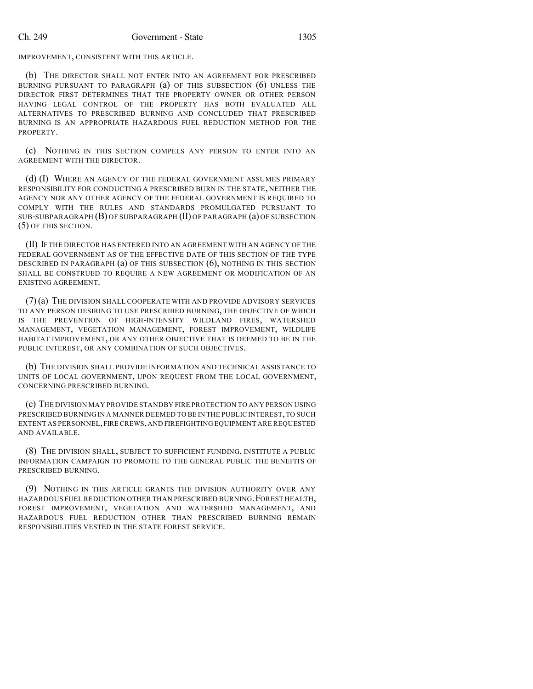IMPROVEMENT, CONSISTENT WITH THIS ARTICLE.

(b) THE DIRECTOR SHALL NOT ENTER INTO AN AGREEMENT FOR PRESCRIBED BURNING PURSUANT TO PARAGRAPH (a) OF THIS SUBSECTION (6) UNLESS THE DIRECTOR FIRST DETERMINES THAT THE PROPERTY OWNER OR OTHER PERSON HAVING LEGAL CONTROL OF THE PROPERTY HAS BOTH EVALUATED ALL ALTERNATIVES TO PRESCRIBED BURNING AND CONCLUDED THAT PRESCRIBED BURNING IS AN APPROPRIATE HAZARDOUS FUEL REDUCTION METHOD FOR THE PROPERTY.

(c) NOTHING IN THIS SECTION COMPELS ANY PERSON TO ENTER INTO AN AGREEMENT WITH THE DIRECTOR.

(d) (I) WHERE AN AGENCY OF THE FEDERAL GOVERNMENT ASSUMES PRIMARY RESPONSIBILITY FOR CONDUCTING A PRESCRIBED BURN IN THE STATE, NEITHER THE AGENCY NOR ANY OTHER AGENCY OF THE FEDERAL GOVERNMENT IS REQUIRED TO COMPLY WITH THE RULES AND STANDARDS PROMULGATED PURSUANT TO SUB-SUBPARAGRAPH (B) OF SUBPARAGRAPH (II) OF PARAGRAPH (a) OF SUBSECTION (5) OF THIS SECTION.

(II) IF THE DIRECTOR HAS ENTERED INTO AN AGREEMENT WITH AN AGENCY OF THE FEDERAL GOVERNMENT AS OF THE EFFECTIVE DATE OF THIS SECTION OF THE TYPE DESCRIBED IN PARAGRAPH  $(a)$  of this subsection  $(6)$ , nothing in this section SHALL BE CONSTRUED TO REQUIRE A NEW AGREEMENT OR MODIFICATION OF AN EXISTING AGREEMENT.

(7)(a) THE DIVISION SHALL COOPERATE WITH AND PROVIDE ADVISORY SERVICES TO ANY PERSON DESIRING TO USE PRESCRIBED BURNING, THE OBJECTIVE OF WHICH IS THE PREVENTION OF HIGH-INTENSITY WILDLAND FIRES, WATERSHED MANAGEMENT, VEGETATION MANAGEMENT, FOREST IMPROVEMENT, WILDLIFE HABITAT IMPROVEMENT, OR ANY OTHER OBJECTIVE THAT IS DEEMED TO BE IN THE PUBLIC INTEREST, OR ANY COMBINATION OF SUCH OBJECTIVES.

(b) THE DIVISION SHALL PROVIDE INFORMATION AND TECHNICAL ASSISTANCE TO UNITS OF LOCAL GOVERNMENT, UPON REQUEST FROM THE LOCAL GOVERNMENT, CONCERNING PRESCRIBED BURNING.

(c) THE DIVISION MAY PROVIDE STANDBY FIRE PROTECTION TO ANY PERSON USING PRESCRIBED BURNING IN A MANNER DEEMED TO BE IN THE PUBLIC INTEREST,TO SUCH EXTENT AS PERSONNEL,FIRE CREWS,AND FIREFIGHTING EQUIPMENT ARE REQUESTED AND AVAILABLE.

(8) THE DIVISION SHALL, SUBJECT TO SUFFICIENT FUNDING, INSTITUTE A PUBLIC INFORMATION CAMPAIGN TO PROMOTE TO THE GENERAL PUBLIC THE BENEFITS OF PRESCRIBED BURNING.

(9) NOTHING IN THIS ARTICLE GRANTS THE DIVISION AUTHORITY OVER ANY HAZARDOUS FUEL REDUCTION OTHER THAN PRESCRIBED BURNING.FOREST HEALTH, FOREST IMPROVEMENT, VEGETATION AND WATERSHED MANAGEMENT, AND HAZARDOUS FUEL REDUCTION OTHER THAN PRESCRIBED BURNING REMAIN RESPONSIBILITIES VESTED IN THE STATE FOREST SERVICE.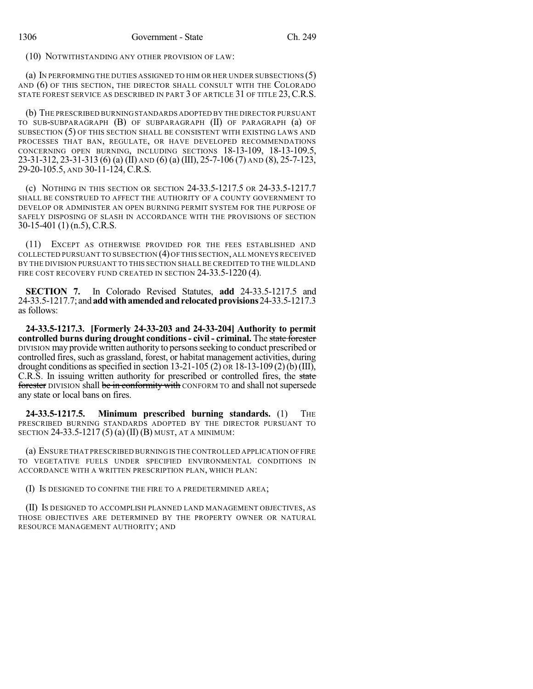(10) NOTWITHSTANDING ANY OTHER PROVISION OF LAW:

(a) IN PERFORMING THE DUTIES ASSIGNED TO HIM OR HER UNDER SUBSECTIONS (5) AND (6) OF THIS SECTION, THE DIRECTOR SHALL CONSULT WITH THE COLORADO STATE FOREST SERVICE AS DESCRIBED IN PART 3 OF ARTICLE 31 OF TITLE 23, C.R.S.

(b) THE PRESCRIBED BURNINGSTANDARDS ADOPTED BY THE DIRECTOR PURSUANT TO SUB-SUBPARAGRAPH (B) OF SUBPARAGRAPH (II) OF PARAGRAPH (a) OF SUBSECTION (5) OF THIS SECTION SHALL BE CONSISTENT WITH EXISTING LAWS AND PROCESSES THAT BAN, REGULATE, OR HAVE DEVELOPED RECOMMENDATIONS CONCERNING OPEN BURNING, INCLUDING SECTIONS 18-13-109, 18-13-109.5, 23-31-312, 23-31-313 (6) (a) (II) AND (6) (a) (III), 25-7-106 (7) AND (8), 25-7-123, 29-20-105.5, AND 30-11-124, C.R.S.

(c) NOTHING IN THIS SECTION OR SECTION 24-33.5-1217.5 OR 24-33.5-1217.7 SHALL BE CONSTRUED TO AFFECT THE AUTHORITY OF A COUNTY GOVERNMENT TO DEVELOP OR ADMINISTER AN OPEN BURNING PERMIT SYSTEM FOR THE PURPOSE OF SAFELY DISPOSING OF SLASH IN ACCORDANCE WITH THE PROVISIONS OF SECTION 30-15-401 (1) (n.5), C.R.S.

(11) EXCEPT AS OTHERWISE PROVIDED FOR THE FEES ESTABLISHED AND COLLECTED PURSUANT TO SUBSECTION (4) OF THIS SECTION, ALL MONEYS RECEIVED BY THE DIVISION PURSUANT TO THIS SECTION SHALL BE CREDITED TO THE WILDLAND FIRE COST RECOVERY FUND CREATED IN SECTION 24-33.5-1220 (4).

**SECTION 7.** In Colorado Revised Statutes, **add** 24-33.5-1217.5 and 24-33.5-1217.7; and**addwithamendedandrelocatedprovisions**24-33.5-1217.3 as follows:

**24-33.5-1217.3. [Formerly 24-33-203 and 24-33-204] Authority to permit controlled burns during drought conditions- civil - criminal.** The state forester DIVISION may provide written authority to personsseeking to conduct prescribed or controlled fires, such as grassland, forest, or habitat management activities, during drought conditions as specified in section 13-21-105 (2) on 18-13-109 (2) (b) (III), C.R.S. In issuing written authority for prescribed or controlled fires, the state forester DIVISION shall be in conformity with CONFORM TO and shall not supersede any state or local bans on fires.

**24-33.5-1217.5. Minimum prescribed burning standards.** (1) THE PRESCRIBED BURNING STANDARDS ADOPTED BY THE DIRECTOR PURSUANT TO SECTION 24-33.5-1217 (5) (a) (II) (B) MUST, AT A MINIMUM:

(a) ENSURE THAT PRESCRIBED BURNING IS THE CONTROLLED APPLICATION OF FIRE TO VEGETATIVE FUELS UNDER SPECIFIED ENVIRONMENTAL CONDITIONS IN ACCORDANCE WITH A WRITTEN PRESCRIPTION PLAN, WHICH PLAN:

(I) IS DESIGNED TO CONFINE THE FIRE TO A PREDETERMINED AREA;

(II) IS DESIGNED TO ACCOMPLISH PLANNED LAND MANAGEMENT OBJECTIVES, AS THOSE OBJECTIVES ARE DETERMINED BY THE PROPERTY OWNER OR NATURAL RESOURCE MANAGEMENT AUTHORITY; AND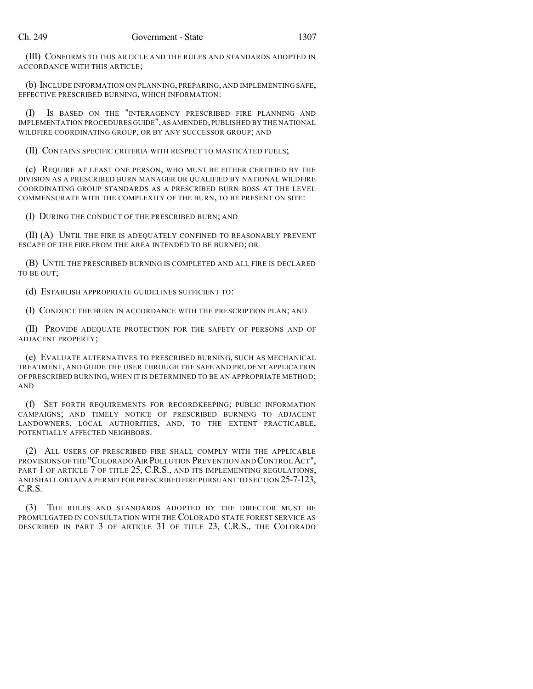(III) CONFORMS TO THIS ARTICLE AND THE RULES AND STANDARDS ADOPTED IN ACCORDANCE WITH THIS ARTICLE;

(b) INCLUDE INFORMATION ON PLANNING, PREPARING, AND IMPLEMENTING SAFE, EFFECTIVE PRESCRIBED BURNING, WHICH INFORMATION:

(I) IS BASED ON THE "INTERAGENCY PRESCRIBED FIRE PLANNING AND IMPLEMENTATION PROCEDURES GUIDE",AS AMENDED,PUBLISHED BY THE NATIONAL WILDFIRE COORDINATING GROUP, OR BY ANY SUCCESSOR GROUP; AND

(II) CONTAINS SPECIFIC CRITERIA WITH RESPECT TO MASTICATED FUELS;

(c) REQUIRE AT LEAST ONE PERSON, WHO MUST BE EITHER CERTIFIED BY THE DIVISION AS A PRESCRIBED BURN MANAGER OR QUALIFIED BY NATIONAL WILDFIRE COORDINATING GROUP STANDARDS AS A PRESCRIBED BURN BOSS AT THE LEVEL COMMENSURATE WITH THE COMPLEXITY OF THE BURN, TO BE PRESENT ON SITE:

(I) DURING THE CONDUCT OF THE PRESCRIBED BURN; AND

(II) (A) UNTIL THE FIRE IS ADEQUATELY CONFINED TO REASONABLY PREVENT ESCAPE OF THE FIRE FROM THE AREA INTENDED TO BE BURNED; OR

(B) UNTIL THE PRESCRIBED BURNING IS COMPLETED AND ALL FIRE IS DECLARED TO BE OUT;

(d) ESTABLISH APPROPRIATE GUIDELINES SUFFICIENT TO:

(I) CONDUCT THE BURN IN ACCORDANCE WITH THE PRESCRIPTION PLAN; AND

(II) PROVIDE ADEQUATE PROTECTION FOR THE SAFETY OF PERSONS AND OF ADJACENT PROPERTY;

(e) EVALUATE ALTERNATIVES TO PRESCRIBED BURNING, SUCH AS MECHANICAL TREATMENT, AND GUIDE THE USER THROUGH THE SAFE AND PRUDENT APPLICATION OF PRESCRIBED BURNING, WHEN IT IS DETERMINED TO BE AN APPROPRIATE METHOD; AND

(f) SET FORTH REQUIREMENTS FOR RECORDKEEPING; PUBLIC INFORMATION CAMPAIGNS; AND TIMELY NOTICE OF PRESCRIBED BURNING TO ADJACENT LANDOWNERS, LOCAL AUTHORITIES, AND, TO THE EXTENT PRACTICABLE, POTENTIALLY AFFECTED NEIGHBORS.

(2) ALL USERS OF PRESCRIBED FIRE SHALL COMPLY WITH THE APPLICABLE PROVISIONS OF THE "COLORADO AIR POLLUTION PREVENTION AND CONTROLACT", PART 1 OF ARTICLE 7 OF TITLE 25, C.R.S., AND ITS IMPLEMENTING REGULATIONS, AND SHALL OBTAIN A PERMIT FOR PRESCRIBED FIRE PURSUANT TO SECTION 25-7-123, C.R.S.

(3) THE RULES AND STANDARDS ADOPTED BY THE DIRECTOR MUST BE PROMULGATED IN CONSULTATION WITH THE COLORADO STATE FOREST SERVICE AS DESCRIBED IN PART 3 OF ARTICLE 31 OF TITLE 23, C.R.S., THE COLORADO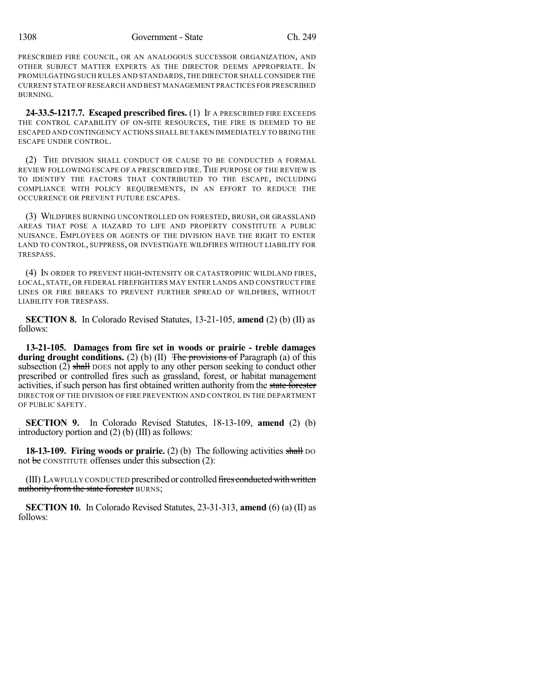PRESCRIBED FIRE COUNCIL, OR AN ANALOGOUS SUCCESSOR ORGANIZATION, AND OTHER SUBJECT MATTER EXPERTS AS THE DIRECTOR DEEMS APPROPRIATE. IN PROMULGATING SUCH RULES AND STANDARDS,THE DIRECTOR SHALLCONSIDER THE CURRENT STATE OF RESEARCH AND BEST MANAGEMENT PRACTICES FOR PRESCRIBED BURNING.

**24-33.5-1217.7. Escaped prescribed fires.** (1) IF A PRESCRIBED FIRE EXCEEDS THE CONTROL CAPABILITY OF ON-SITE RESOURCES, THE FIRE IS DEEMED TO BE ESCAPED AND CONTINGENCY ACTIONS SHALL BE TAKEN IMMEDIATELY TO BRING THE ESCAPE UNDER CONTROL.

(2) THE DIVISION SHALL CONDUCT OR CAUSE TO BE CONDUCTED A FORMAL REVIEW FOLLOWING ESCAPE OF A PRESCRIBED FIRE. THE PURPOSE OF THE REVIEW IS TO IDENTIFY THE FACTORS THAT CONTRIBUTED TO THE ESCAPE, INCLUDING COMPLIANCE WITH POLICY REQUIREMENTS, IN AN EFFORT TO REDUCE THE OCCURRENCE OR PREVENT FUTURE ESCAPES.

(3) WILDFIRES BURNING UNCONTROLLED ON FORESTED, BRUSH, OR GRASSLAND AREAS THAT POSE A HAZARD TO LIFE AND PROPERTY CONSTITUTE A PUBLIC NUISANCE. EMPLOYEES OR AGENTS OF THE DIVISION HAVE THE RIGHT TO ENTER LAND TO CONTROL, SUPPRESS, OR INVESTIGATE WILDFIRES WITHOUT LIABILITY FOR TRESPASS.

(4) IN ORDER TO PREVENT HIGH-INTENSITY OR CATASTROPHIC WILDLAND FIRES, LOCAL, STATE, OR FEDERAL FIREFIGHTERS MAY ENTER LANDS AND CONSTRUCT FIRE LINES OR FIRE BREAKS TO PREVENT FURTHER SPREAD OF WILDFIRES, WITHOUT LIABILITY FOR TRESPASS.

**SECTION 8.** In Colorado Revised Statutes, 13-21-105, **amend** (2) (b) (II) as follows:

**13-21-105. Damages from fire set in woods or prairie - treble damages during drought conditions.** (2) (b) (II) The provisions of Paragraph (a) of this subsection  $(2)$  shall DOES not apply to any other person seeking to conduct other prescribed or controlled fires such as grassland, forest, or habitat management activities, if such person has first obtained written authority from the state forester DIRECTOR OF THE DIVISION OF FIRE PREVENTION AND CONTROL IN THE DEPARTMENT OF PUBLIC SAFETY.

**SECTION 9.** In Colorado Revised Statutes, 18-13-109, **amend** (2) (b) introductory portion and (2) (b) (III) as follows:

**18-13-109. Firing woods or prairie.** (2) (b) The following activities shall DO not be CONSTITUTE offenses under this subsection (2):

(III) LAWFULLY CONDUCTED prescribed or controlled fires conducted with written authority from the state forester BURNS;

**SECTION 10.** In Colorado Revised Statutes, 23-31-313, **amend** (6) (a) (II) as follows: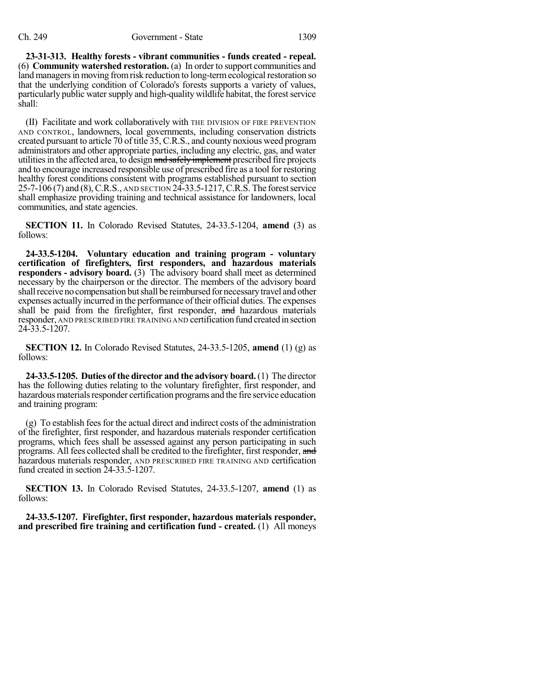### Ch. 249 Government - State 1309

**23-31-313. Healthy forests - vibrant communities - funds created - repeal.** (6) **Community watershed restoration.** (a) In order to support communities and land managers in moving from risk reduction to long-term ecological restoration so that the underlying condition of Colorado's forests supports a variety of values, particularly public water supply and high-quality wildlife habitat, the forest service shall:

(II) Facilitate and work collaboratively with THE DIVISION OF FIRE PREVENTION AND CONTROL, landowners, local governments, including conservation districts created pursuant to article 70 of title 35, C.R.S., and county noxious weed program administrators and other appropriate parties, including any electric, gas, and water utilities in the affected area, to design and safely implement prescribed fire projects and to encourage increased responsible use of prescribed fire as a tool for restoring healthy forest conditions consistent with programs established pursuant to section 25-7-106 (7) and (8),C.R.S., AND SECTION 24-33.5-1217,C.R.S. The forestservice shall emphasize providing training and technical assistance for landowners, local communities, and state agencies.

**SECTION 11.** In Colorado Revised Statutes, 24-33.5-1204, **amend** (3) as follows:

**24-33.5-1204. Voluntary education and training program - voluntary certification of firefighters, first responders, and hazardous materials responders - advisory board.** (3) The advisory board shall meet as determined necessary by the chairperson or the director. The members of the advisory board shall receive no compensation but shall be reimbursed for necessary travel and other expenses actually incurred in the performance of their official duties. The expenses shall be paid from the firefighter, first responder, and hazardous materials responder, AND PRESCRIBED FIRE TRAINING AND certification fund created in section 24-33.5-1207.

**SECTION 12.** In Colorado Revised Statutes, 24-33.5-1205, **amend** (1) (g) as follows:

**24-33.5-1205. Duties of the director and the advisory board.**(1) The director has the following duties relating to the voluntary firefighter, first responder, and hazardous materials responder certification programs and the fire service education and training program:

 $(g)$  To establish fees for the actual direct and indirect costs of the administration of the firefighter, first responder, and hazardous materials responder certification programs, which fees shall be assessed against any person participating in such programs. All fees collected shall be credited to the firefighter, first responder, and hazardous materials responder, AND PRESCRIBED FIRE TRAINING AND certification fund created in section 24-33.5-1207.

**SECTION 13.** In Colorado Revised Statutes, 24-33.5-1207, **amend** (1) as follows:

**24-33.5-1207. Firefighter, first responder, hazardous materials responder, and prescribed fire training and certification fund - created.** (1) All moneys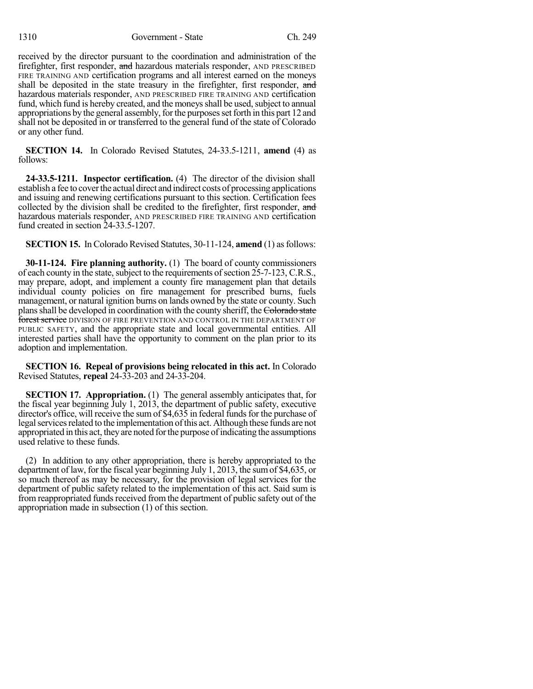received by the director pursuant to the coordination and administration of the firefighter, first responder, and hazardous materials responder, AND PRESCRIBED FIRE TRAINING AND certification programs and all interest earned on the moneys shall be deposited in the state treasury in the firefighter, first responder, and hazardous materials responder, AND PRESCRIBED FIRE TRAINING AND certification fund, which fund is hereby created, and the moneys shall be used, subject to annual appropriations by the general assembly, for the purposes set forth in this part 12 and shall not be deposited in or transferred to the general fund of the state of Colorado or any other fund.

**SECTION 14.** In Colorado Revised Statutes, 24-33.5-1211, **amend** (4) as follows:

**24-33.5-1211. Inspector certification.** (4) The director of the division shall establish a fee to coverthe actual direct and indirect costs of processing applications and issuing and renewing certifications pursuant to this section. Certification fees collected by the division shall be credited to the firefighter, first responder, and hazardous materials responder, AND PRESCRIBED FIRE TRAINING AND certification fund created in section 24-33.5-1207.

**SECTION 15.** In Colorado Revised Statutes, 30-11-124, **amend** (1) as follows:

**30-11-124. Fire planning authority.** (1) The board of county commissioners of each county in the state, subject to the requirements of section 25-7-123, C.R.S., may prepare, adopt, and implement a county fire management plan that details individual county policies on fire management for prescribed burns, fuels management, or natural ignition burns on lands owned by the state or county. Such plans shall be developed in coordination with the county sheriff, the Colorado state forest service DIVISION OF FIRE PREVENTION AND CONTROL IN THE DEPARTMENT OF PUBLIC SAFETY, and the appropriate state and local governmental entities. All interested parties shall have the opportunity to comment on the plan prior to its adoption and implementation.

**SECTION 16. Repeal of provisions being relocated in this act.** In Colorado Revised Statutes, **repeal** 24-33-203 and 24-33-204.

**SECTION 17. Appropriation.** (1) The general assembly anticipates that, for the fiscal year beginning July 1, 2013, the department of public safety, executive director's office, will receive the sum of \$4,635 in federal funds for the purchase of legal services related to the implementation of this act. Although these funds are not appropriated in this act, they are noted for the purpose of indicating the assumptions used relative to these funds.

(2) In addition to any other appropriation, there is hereby appropriated to the department of law, for the fiscal year beginning July 1, 2013, the sumof \$4,635, or so much thereof as may be necessary, for the provision of legal services for the department of public safety related to the implementation of this act. Said sum is from reappropriated funds received from the department of public safety out of the appropriation made in subsection (1) of this section.